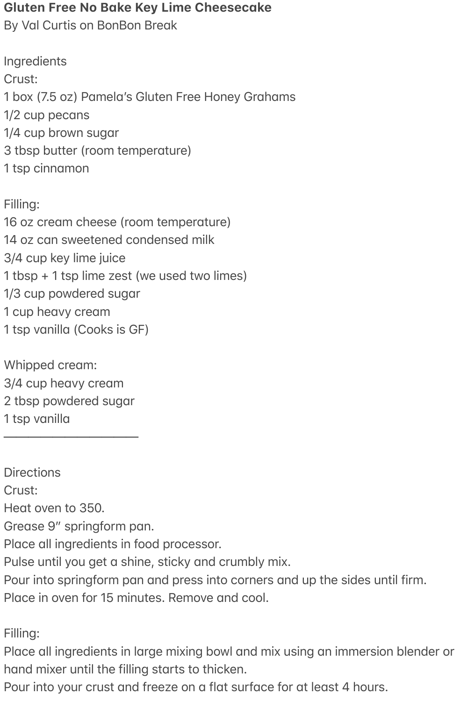## **Gluten Free No Bake Key Lime Cheesecake**

By Val Curtis on BonBon Break

**Ingredients** Crust: 1 box (7.5 oz) Pamela's Gluten Free Honey Grahams  $1/2$  cup pecans 1/4 cup brown sugar 3 tbsp butter (room temperature) 1 tsp cinnamon

Filling: 16 oz cream cheese (room temperature) 14 oz can sweetened condensed milk 3/4 cup key lime juice 1 tbsp + 1 tsp lime zest (we used two limes) 1/3 cup powdered sugar 1 cup heavy cream 1 tsp vanilla (Cooks is GF)

Whipped cream: 3/4 cup heavy cream 2 tbsp powdered sugar 1 tsp vanilla

———————————

**Directions** Crust: Heat oven to 350. Grease 9" springform pan. Place all ingredients in food processor. Pulse until you get a shine, sticky and crumbly mix. Pour into springform pan and press into corners and up the sides until firm. Place in oven for 15 minutes. Remove and cool.

Filling:

Place all ingredients in large mixing bowl and mix using an immersion blender or hand mixer until the filling starts to thicken.

Pour into your crust and freeze on a flat surface for at least 4 hours.